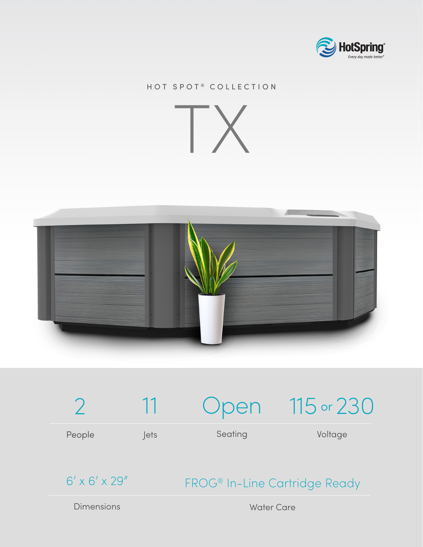

## HOT SPOT® COLLECTION







 $6' \times 6' \times 29''$ 

## FROG® In-Line Cartridge Ready

Dimensions

Water Care